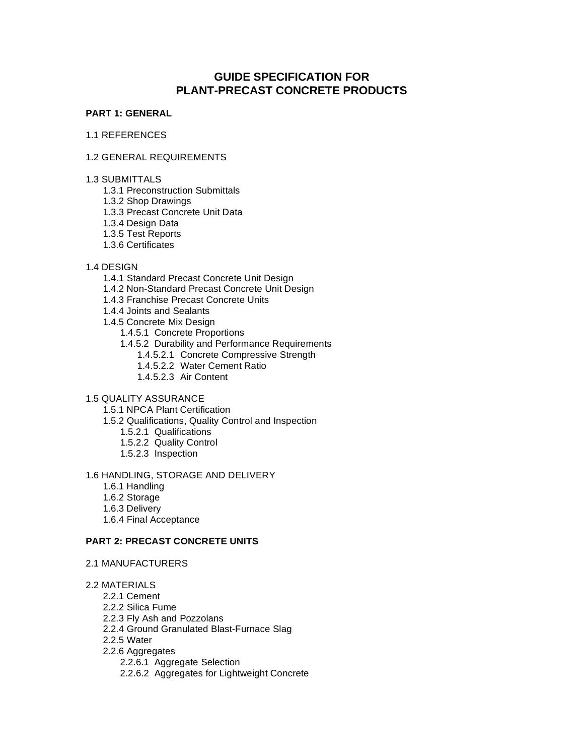# **GUIDE SPECIFICATION FOR PLANT-PRECAST CONCRETE PRODUCTS**

## **PART 1: GENERAL**

## 1.1 REFERENCES

# 1.2 GENERAL REQUIREMENTS

- 1.3 SUBMITTALS
	- 1.3.1 Preconstruction Submittals
	- 1.3.2 Shop Drawings
	- 1.3.3 Precast Concrete Unit Data
	- 1.3.4 Design Data
	- 1.3.5 Test Reports
	- 1.3.6 Certificates

# 1.4 DESIGN

- 1.4.1 Standard Precast Concrete Unit Design
- 1.4.2 Non-Standard Precast Concrete Unit Design
- 1.4.3 Franchise Precast Concrete Units
- 1.4.4 Joints and Sealants
- 1.4.5 Concrete Mix Design
	- 1.4.5.1 Concrete Proportions
	- 1.4.5.2 Durability and Performance Requirements
		- 1.4.5.2.1 Concrete Compressive Strength
		- 1.4.5.2.2 Water Cement Ratio
		- 1.4.5.2.3 Air Content

## 1.5 QUALITY ASSURANCE

- 1.5.1 NPCA Plant Certification
- 1.5.2 Qualifications, Quality Control and Inspection
	- 1.5.2.1 Qualifications
	- 1.5.2.2 Quality Control
	- 1.5.2.3 Inspection

## 1.6 HANDLING, STORAGE AND DELIVERY

- 1.6.1 Handling
- 1.6.2 Storage
- 1.6.3 Delivery
- 1.6.4 Final Acceptance

# **PART 2: PRECAST CONCRETE UNITS**

- 2.1 MANUFACTURERS
- 2.2 MATERIALS
	- 2.2.1 Cement
	- 2.2.2 Silica Fume
	- 2.2.3 Fly Ash and Pozzolans
	- 2.2.4 Ground Granulated Blast-Furnace Slag
	- 2.2.5 Water
	- 2.2.6 Aggregates
		- 2.2.6.1 Aggregate Selection
		- 2.2.6.2 Aggregates for Lightweight Concrete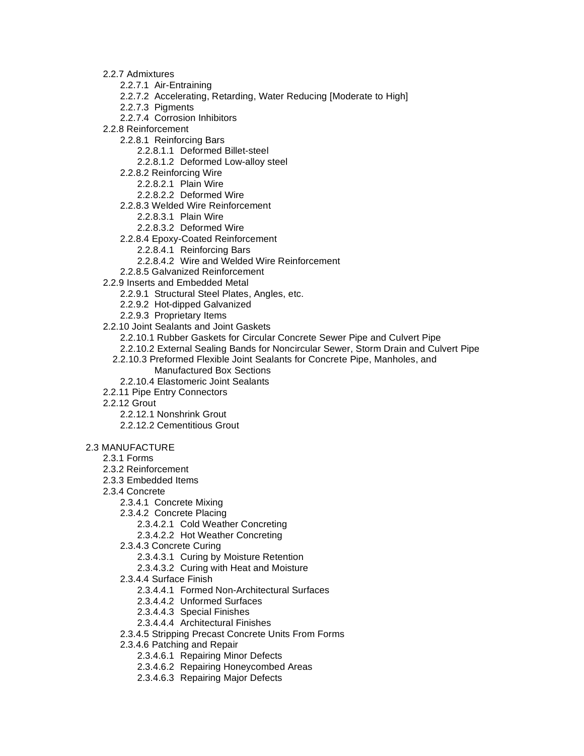- 2.2.7 Admixtures
	- 2.2.7.1 Air-Entraining
	- 2.2.7.2 Accelerating, Retarding, Water Reducing [Moderate to High]
	- 2.2.7.3 Pigments
	- 2.2.7.4 Corrosion Inhibitors
- 2.2.8 Reinforcement
	- 2.2.8.1 Reinforcing Bars
		- 2.2.8.1.1 Deformed Billet-steel
		- 2.2.8.1.2 Deformed Low-alloy steel
	- 2.2.8.2 Reinforcing Wire
		- 2.2.8.2.1 Plain Wire
		- 2.2.8.2.2 Deformed Wire
	- 2.2.8.3 Welded Wire Reinforcement
		- 2.2.8.3.1 Plain Wire
		- 2.2.8.3.2 Deformed Wire
	- 2.2.8.4 Epoxy-Coated Reinforcement
		- 2.2.8.4.1 Reinforcing Bars
		- 2.2.8.4.2 Wire and Welded Wire Reinforcement
	- 2.2.8.5 Galvanized Reinforcement
- 2.2.9 Inserts and Embedded Metal
	- 2.2.9.1 Structural Steel Plates, Angles, etc.
	- 2.2.9.2 Hot-dipped Galvanized
	- 2.2.9.3 Proprietary Items
- 2.2.10 Joint Sealants and Joint Gaskets
	- 2.2.10.1 Rubber Gaskets for Circular Concrete Sewer Pipe and Culvert Pipe
	- 2.2.10.2 External Sealing Bands for Noncircular Sewer, Storm Drain and Culvert Pipe
	- 2.2.10.3 Preformed Flexible Joint Sealants for Concrete Pipe, Manholes, and Manufactured Box Sections
		- 2.2.10.4 Elastomeric Joint Sealants
- 2.2.11 Pipe Entry Connectors
- 2.2.12 Grout
	- 2.2.12.1 Nonshrink Grout
	- 2.2.12.2 Cementitious Grout

## 2.3 MANUFACTURE

- 2.3.1 Forms
- 2.3.2 Reinforcement
- 2.3.3 Embedded Items
- 2.3.4 Concrete
	- 2.3.4.1 Concrete Mixing
	- 2.3.4.2 Concrete Placing
		- 2.3.4.2.1 Cold Weather Concreting
		- 2.3.4.2.2 Hot Weather Concreting
	- 2.3.4.3 Concrete Curing
		- 2.3.4.3.1 Curing by Moisture Retention
		- 2.3.4.3.2 Curing with Heat and Moisture
	- 2.3.4.4 Surface Finish
		- 2.3.4.4.1 Formed Non-Architectural Surfaces
		- 2.3.4.4.2 Unformed Surfaces
		- 2.3.4.4.3 Special Finishes
		- 2.3.4.4.4 Architectural Finishes
	- 2.3.4.5 Stripping Precast Concrete Units From Forms
	- 2.3.4.6 Patching and Repair
		- 2.3.4.6.1 Repairing Minor Defects
		- 2.3.4.6.2 Repairing Honeycombed Areas
		- 2.3.4.6.3 Repairing Major Defects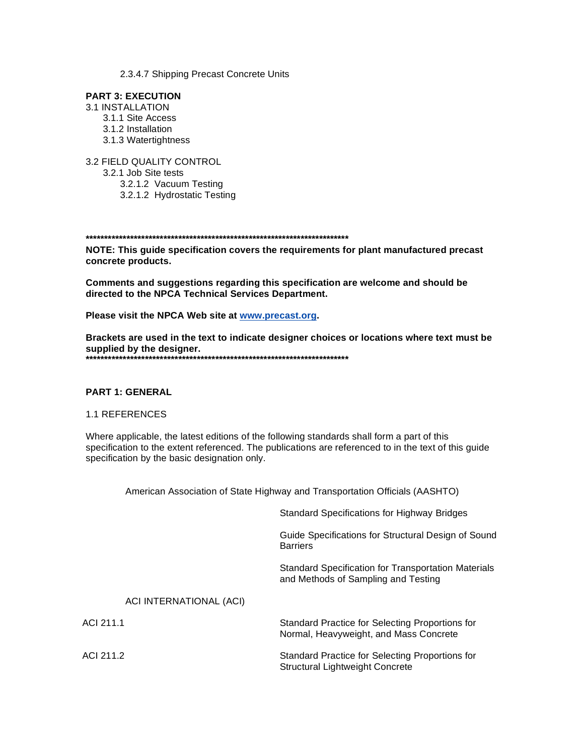2.3.4.7 Shipping Precast Concrete Units

## **PART 3: EXECUTION**

- **3.1 INSTALLATION** 3.1.1 Site Access
	- 3.1.2 Installation 3.1.3 Watertightness

3.2 FIELD QUALITY CONTROL 3.2.1 Job Site tests

3.2.1.2 Vacuum Testing 3.2.1.2 Hydrostatic Testing

NOTE: This guide specification covers the requirements for plant manufactured precast concrete products.

Comments and suggestions regarding this specification are welcome and should be directed to the NPCA Technical Services Department.

Please visit the NPCA Web site at www.precast.org.

Brackets are used in the text to indicate designer choices or locations where text must be supplied by the designer. 

## **PART 1: GENERAL**

#### **1.1 REFERENCES**

Where applicable, the latest editions of the following standards shall form a part of this specification to the extent referenced. The publications are referenced to in the text of this guide specification by the basic designation only.

American Association of State Highway and Transportation Officials (AASHTO)

|                         | <b>Standard Specifications for Highway Bridges</b>                                         |
|-------------------------|--------------------------------------------------------------------------------------------|
|                         | Guide Specifications for Structural Design of Sound<br><b>Barriers</b>                     |
|                         | Standard Specification for Transportation Materials<br>and Methods of Sampling and Testing |
| ACI INTERNATIONAL (ACI) |                                                                                            |
| ACI 211.1               | Standard Practice for Selecting Proportions for<br>Normal, Heavyweight, and Mass Concrete  |
| ACI 211.2               | Standard Practice for Selecting Proportions for<br>Structural Lightweight Concrete         |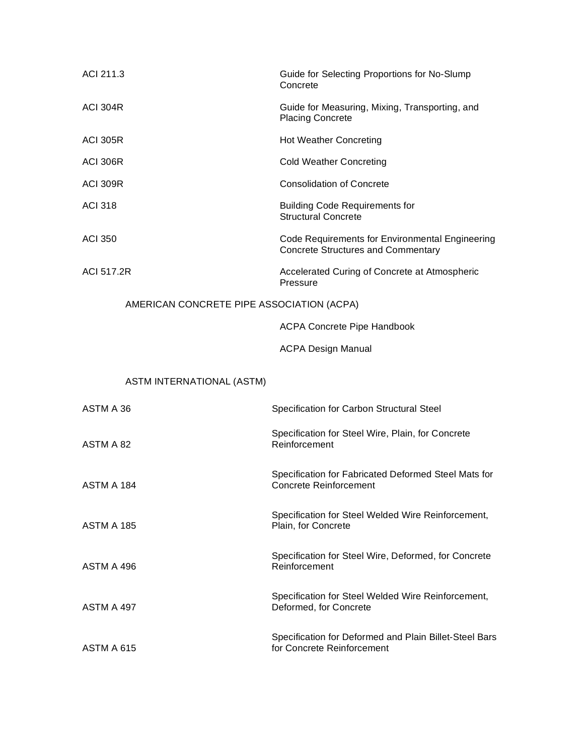| ACI 211.3                                 | Guide for Selecting Proportions for No-Slump<br>Concrete                                     |
|-------------------------------------------|----------------------------------------------------------------------------------------------|
| <b>ACI 304R</b>                           | Guide for Measuring, Mixing, Transporting, and<br><b>Placing Concrete</b>                    |
| <b>ACI 305R</b>                           | <b>Hot Weather Concreting</b>                                                                |
| <b>ACI 306R</b>                           | <b>Cold Weather Concreting</b>                                                               |
| <b>ACI 309R</b>                           | <b>Consolidation of Concrete</b>                                                             |
| <b>ACI 318</b>                            | <b>Building Code Requirements for</b><br><b>Structural Concrete</b>                          |
| <b>ACI 350</b>                            | Code Requirements for Environmental Engineering<br><b>Concrete Structures and Commentary</b> |
| <b>ACI 517.2R</b>                         | Accelerated Curing of Concrete at Atmospheric<br>Pressure                                    |
| AMERICAN CONCRETE PIPE ASSOCIATION (ACPA) |                                                                                              |
|                                           | <b>ACPA Concrete Pipe Handbook</b>                                                           |
|                                           | <b>ACPA Design Manual</b>                                                                    |
|                                           |                                                                                              |
| ASTM INTERNATIONAL (ASTM)                 |                                                                                              |
| ASTM A 36                                 | Specification for Carbon Structural Steel                                                    |
| ASTM A 82                                 | Specification for Steel Wire, Plain, for Concrete<br>Reinforcement                           |
| ASTM A 184                                | Specification for Fabricated Deformed Steel Mats for<br><b>Concrete Reinforcement</b>        |
| <b>ASTM A 185</b>                         | Specification for Steel Welded Wire Reinforcement,<br>Plain, for Concrete                    |
| ASTM A 496                                | Specification for Steel Wire, Deformed, for Concrete<br>Reinforcement                        |
| ASTM A 497                                | Specification for Steel Welded Wire Reinforcement,<br>Deformed, for Concrete                 |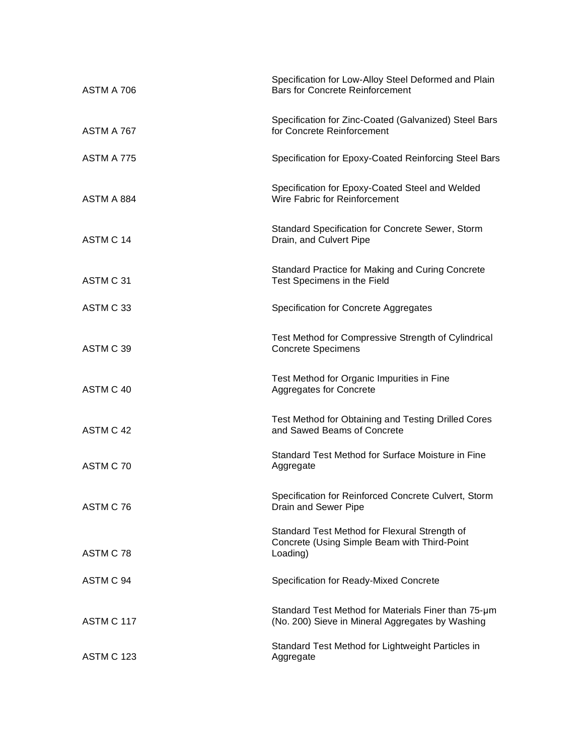| ASTM A 706        | Specification for Low-Alloy Steel Deformed and Plain<br><b>Bars for Concrete Reinforcement</b>            |
|-------------------|-----------------------------------------------------------------------------------------------------------|
| ASTM A 767        | Specification for Zinc-Coated (Galvanized) Steel Bars<br>for Concrete Reinforcement                       |
| ASTM A 775        | Specification for Epoxy-Coated Reinforcing Steel Bars                                                     |
| ASTM A 884        | Specification for Epoxy-Coated Steel and Welded<br>Wire Fabric for Reinforcement                          |
| ASTM C 14         | Standard Specification for Concrete Sewer, Storm<br>Drain, and Culvert Pipe                               |
| ASTM C 31         | Standard Practice for Making and Curing Concrete<br>Test Specimens in the Field                           |
| ASTM C 33         | Specification for Concrete Aggregates                                                                     |
| ASTM C 39         | Test Method for Compressive Strength of Cylindrical<br><b>Concrete Specimens</b>                          |
| ASTM C 40         | Test Method for Organic Impurities in Fine<br>Aggregates for Concrete                                     |
| ASTM C 42         | Test Method for Obtaining and Testing Drilled Cores<br>and Sawed Beams of Concrete                        |
| ASTM C 70         | Standard Test Method for Surface Moisture in Fine<br>Aggregate                                            |
| ASTM C 76         | Specification for Reinforced Concrete Culvert, Storm<br>Drain and Sewer Pipe                              |
| ASTM C 78         | Standard Test Method for Flexural Strength of<br>Concrete (Using Simple Beam with Third-Point<br>Loading) |
| ASTM C 94         | Specification for Ready-Mixed Concrete                                                                    |
| ASTM C 117        | Standard Test Method for Materials Finer than 75-um<br>(No. 200) Sieve in Mineral Aggregates by Washing   |
| <b>ASTM C 123</b> | Standard Test Method for Lightweight Particles in<br>Aggregate                                            |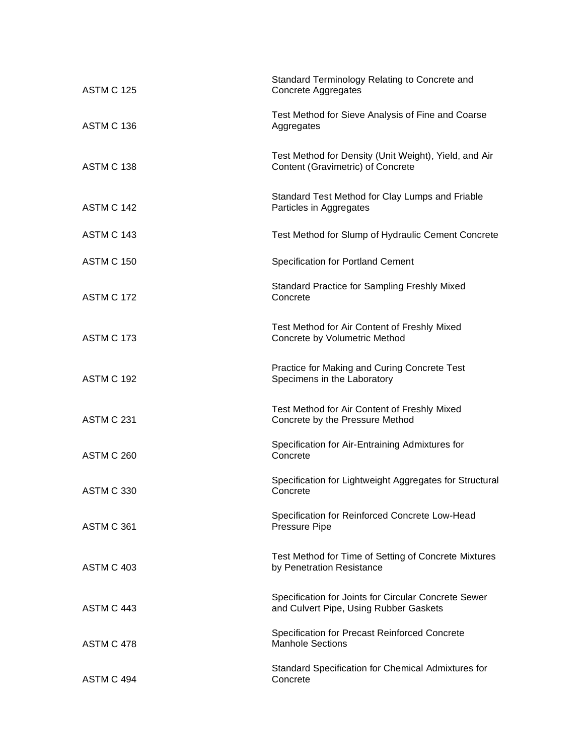| <b>ASTM C 125</b> | Standard Terminology Relating to Concrete and<br><b>Concrete Aggregates</b>                    |
|-------------------|------------------------------------------------------------------------------------------------|
| ASTM C 136        | Test Method for Sieve Analysis of Fine and Coarse<br>Aggregates                                |
| ASTM C 138        | Test Method for Density (Unit Weight), Yield, and Air<br>Content (Gravimetric) of Concrete     |
| ASTM C 142        | Standard Test Method for Clay Lumps and Friable<br>Particles in Aggregates                     |
| ASTM C 143        | Test Method for Slump of Hydraulic Cement Concrete                                             |
| <b>ASTM C 150</b> | <b>Specification for Portland Cement</b>                                                       |
| <b>ASTM C 172</b> | Standard Practice for Sampling Freshly Mixed<br>Concrete                                       |
| ASTM C 173        | Test Method for Air Content of Freshly Mixed<br>Concrete by Volumetric Method                  |
| <b>ASTM C 192</b> | Practice for Making and Curing Concrete Test<br>Specimens in the Laboratory                    |
| <b>ASTM C 231</b> | Test Method for Air Content of Freshly Mixed<br>Concrete by the Pressure Method                |
| <b>ASTM C 260</b> | Specification for Air-Entraining Admixtures for<br>Concrete                                    |
| <b>ASTM C 330</b> | Specification for Lightweight Aggregates for Structural<br>Concrete                            |
| <b>ASTM C 361</b> | Specification for Reinforced Concrete Low-Head<br><b>Pressure Pipe</b>                         |
| ASTM C 403        | Test Method for Time of Setting of Concrete Mixtures<br>by Penetration Resistance              |
| ASTM C 443        | Specification for Joints for Circular Concrete Sewer<br>and Culvert Pipe, Using Rubber Gaskets |
| ASTM C 478        | Specification for Precast Reinforced Concrete<br><b>Manhole Sections</b>                       |
| ASTM C 494        | Standard Specification for Chemical Admixtures for<br>Concrete                                 |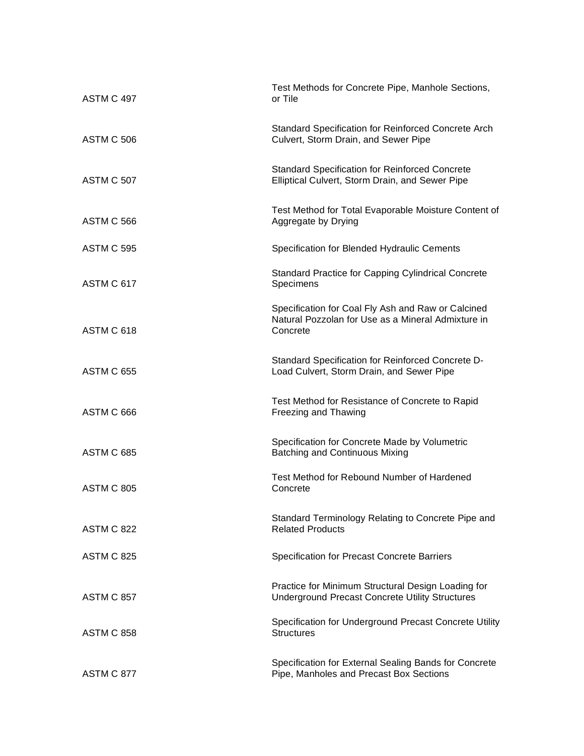| ASTM C 497        | Test Methods for Concrete Pipe, Manhole Sections,<br>or Tile                                                         |
|-------------------|----------------------------------------------------------------------------------------------------------------------|
| <b>ASTM C 506</b> | Standard Specification for Reinforced Concrete Arch<br>Culvert, Storm Drain, and Sewer Pipe                          |
| <b>ASTM C 507</b> | <b>Standard Specification for Reinforced Concrete</b><br>Elliptical Culvert, Storm Drain, and Sewer Pipe             |
| <b>ASTM C 566</b> | Test Method for Total Evaporable Moisture Content of<br>Aggregate by Drying                                          |
| <b>ASTM C 595</b> | Specification for Blended Hydraulic Cements                                                                          |
| ASTM C 617        | <b>Standard Practice for Capping Cylindrical Concrete</b><br>Specimens                                               |
| ASTM C 618        | Specification for Coal Fly Ash and Raw or Calcined<br>Natural Pozzolan for Use as a Mineral Admixture in<br>Concrete |
| <b>ASTM C 655</b> | Standard Specification for Reinforced Concrete D-<br>Load Culvert, Storm Drain, and Sewer Pipe                       |
| ASTM C 666        | Test Method for Resistance of Concrete to Rapid<br>Freezing and Thawing                                              |
| <b>ASTM C 685</b> | Specification for Concrete Made by Volumetric<br><b>Batching and Continuous Mixing</b>                               |
| <b>ASTM C 805</b> | Test Method for Rebound Number of Hardened<br>Concrete                                                               |
| <b>ASTM C 822</b> | Standard Terminology Relating to Concrete Pipe and<br><b>Related Products</b>                                        |
| <b>ASTM C 825</b> | Specification for Precast Concrete Barriers                                                                          |
| <b>ASTM C 857</b> | Practice for Minimum Structural Design Loading for<br><b>Underground Precast Concrete Utility Structures</b>         |
| <b>ASTM C 858</b> | Specification for Underground Precast Concrete Utility<br><b>Structures</b>                                          |
| ASTM C 877        | Specification for External Sealing Bands for Concrete<br>Pipe, Manholes and Precast Box Sections                     |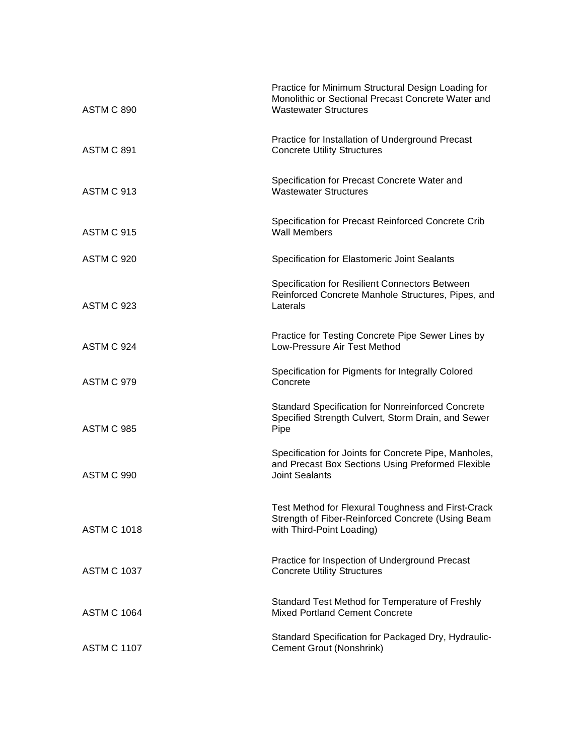| <b>ASTM C 890</b>  | Practice for Minimum Structural Design Loading for<br>Monolithic or Sectional Precast Concrete Water and<br><b>Wastewater Structures</b> |
|--------------------|------------------------------------------------------------------------------------------------------------------------------------------|
| <b>ASTM C 891</b>  | Practice for Installation of Underground Precast<br><b>Concrete Utility Structures</b>                                                   |
| ASTM C 913         | Specification for Precast Concrete Water and<br><b>Wastewater Structures</b>                                                             |
| ASTM C 915         | Specification for Precast Reinforced Concrete Crib<br><b>Wall Members</b>                                                                |
| <b>ASTM C 920</b>  | Specification for Elastomeric Joint Sealants                                                                                             |
| <b>ASTM C 923</b>  | Specification for Resilient Connectors Between<br>Reinforced Concrete Manhole Structures, Pipes, and<br>Laterals                         |
| ASTM C 924         | Practice for Testing Concrete Pipe Sewer Lines by<br>Low-Pressure Air Test Method                                                        |
| ASTM C 979         | Specification for Pigments for Integrally Colored<br>Concrete                                                                            |
| <b>ASTM C 985</b>  | <b>Standard Specification for Nonreinforced Concrete</b><br>Specified Strength Culvert, Storm Drain, and Sewer<br>Pipe                   |
| <b>ASTM C 990</b>  | Specification for Joints for Concrete Pipe, Manholes,<br>and Precast Box Sections Using Preformed Flexible<br><b>Joint Sealants</b>      |
| <b>ASTM C 1018</b> | Test Method for Flexural Toughness and First-Crack<br>Strength of Fiber-Reinforced Concrete (Using Beam<br>with Third-Point Loading)     |
| <b>ASTM C 1037</b> | Practice for Inspection of Underground Precast<br><b>Concrete Utility Structures</b>                                                     |
| <b>ASTM C 1064</b> | Standard Test Method for Temperature of Freshly<br><b>Mixed Portland Cement Concrete</b>                                                 |
| <b>ASTM C 1107</b> | Standard Specification for Packaged Dry, Hydraulic-<br>Cement Grout (Nonshrink)                                                          |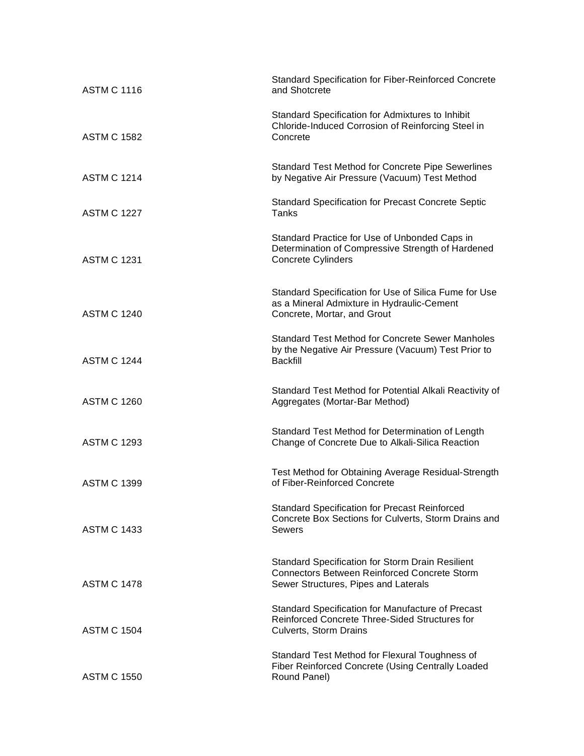| <b>ASTM C 1116</b> | <b>Standard Specification for Fiber-Reinforced Concrete</b><br>and Shotcrete                                                                    |
|--------------------|-------------------------------------------------------------------------------------------------------------------------------------------------|
| <b>ASTM C 1582</b> | Standard Specification for Admixtures to Inhibit<br>Chloride-Induced Corrosion of Reinforcing Steel in<br>Concrete                              |
| <b>ASTM C 1214</b> | <b>Standard Test Method for Concrete Pipe Sewerlines</b><br>by Negative Air Pressure (Vacuum) Test Method                                       |
| <b>ASTM C 1227</b> | <b>Standard Specification for Precast Concrete Septic</b><br>Tanks                                                                              |
| <b>ASTM C 1231</b> | Standard Practice for Use of Unbonded Caps in<br>Determination of Compressive Strength of Hardened<br>Concrete Cylinders                        |
| <b>ASTM C 1240</b> | Standard Specification for Use of Silica Fume for Use<br>as a Mineral Admixture in Hydraulic-Cement<br>Concrete, Mortar, and Grout              |
| <b>ASTM C 1244</b> | <b>Standard Test Method for Concrete Sewer Manholes</b><br>by the Negative Air Pressure (Vacuum) Test Prior to<br><b>Backfill</b>               |
| <b>ASTM C 1260</b> | Standard Test Method for Potential Alkali Reactivity of<br>Aggregates (Mortar-Bar Method)                                                       |
| <b>ASTM C 1293</b> | Standard Test Method for Determination of Length<br>Change of Concrete Due to Alkali-Silica Reaction                                            |
| <b>ASTM C 1399</b> | Test Method for Obtaining Average Residual-Strength<br>of Fiber-Reinforced Concrete                                                             |
| <b>ASTM C 1433</b> | <b>Standard Specification for Precast Reinforced</b><br>Concrete Box Sections for Culverts, Storm Drains and<br><b>Sewers</b>                   |
| <b>ASTM C 1478</b> | Standard Specification for Storm Drain Resilient<br><b>Connectors Between Reinforced Concrete Storm</b><br>Sewer Structures, Pipes and Laterals |
| <b>ASTM C 1504</b> | Standard Specification for Manufacture of Precast<br>Reinforced Concrete Three-Sided Structures for<br>Culverts, Storm Drains                   |
| <b>ASTM C 1550</b> | Standard Test Method for Flexural Toughness of<br>Fiber Reinforced Concrete (Using Centrally Loaded<br>Round Panel)                             |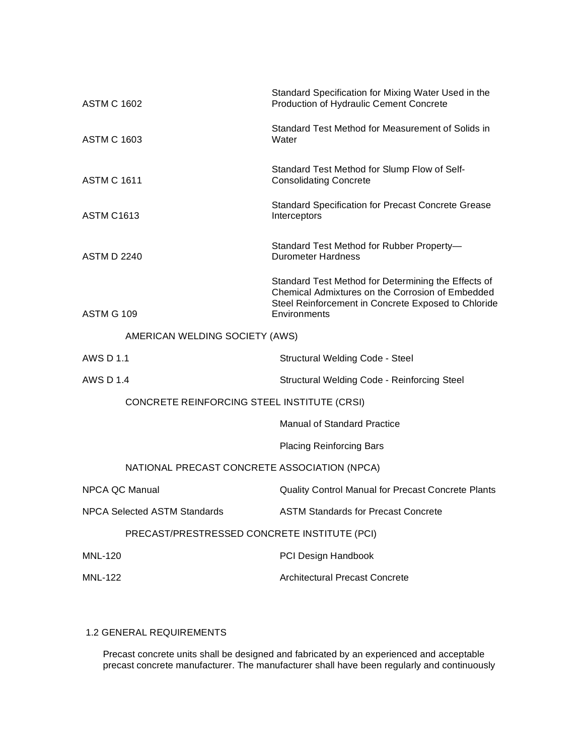| <b>ASTM C 1602</b>                           | Standard Specification for Mixing Water Used in the<br><b>Production of Hydraulic Cement Concrete</b>                                                                          |
|----------------------------------------------|--------------------------------------------------------------------------------------------------------------------------------------------------------------------------------|
| <b>ASTM C 1603</b>                           | Standard Test Method for Measurement of Solids in<br>Water                                                                                                                     |
| <b>ASTM C 1611</b>                           | Standard Test Method for Slump Flow of Self-<br><b>Consolidating Concrete</b>                                                                                                  |
| <b>ASTM C1613</b>                            | Standard Specification for Precast Concrete Grease<br>Interceptors                                                                                                             |
| <b>ASTM D 2240</b>                           | Standard Test Method for Rubber Property-<br>Durometer Hardness                                                                                                                |
| <b>ASTM G 109</b>                            | Standard Test Method for Determining the Effects of<br>Chemical Admixtures on the Corrosion of Embedded<br>Steel Reinforcement in Concrete Exposed to Chloride<br>Environments |
| AMERICAN WELDING SOCIETY (AWS)               |                                                                                                                                                                                |
| <b>AWS D 1.1</b>                             | <b>Structural Welding Code - Steel</b>                                                                                                                                         |
| AWS D 1.4                                    | <b>Structural Welding Code - Reinforcing Steel</b>                                                                                                                             |
| CONCRETE REINFORCING STEEL INSTITUTE (CRSI)  |                                                                                                                                                                                |
|                                              | <b>Manual of Standard Practice</b>                                                                                                                                             |
|                                              | <b>Placing Reinforcing Bars</b>                                                                                                                                                |
| NATIONAL PRECAST CONCRETE ASSOCIATION (NPCA) |                                                                                                                                                                                |
| <b>NPCA QC Manual</b>                        | Quality Control Manual for Precast Concrete Plants                                                                                                                             |
| <b>NPCA Selected ASTM Standards</b>          | <b>ASTM Standards for Precast Concrete</b>                                                                                                                                     |
| PRECAST/PRESTRESSED CONCRETE INSTITUTE (PCI) |                                                                                                                                                                                |
| <b>MNL-120</b>                               | PCI Design Handbook                                                                                                                                                            |
| <b>MNL-122</b>                               | <b>Architectural Precast Concrete</b>                                                                                                                                          |

# 1.2 GENERAL REQUIREMENTS

Precast concrete units shall be designed and fabricated by an experienced and acceptable precast concrete manufacturer. The manufacturer shall have been regularly and continuously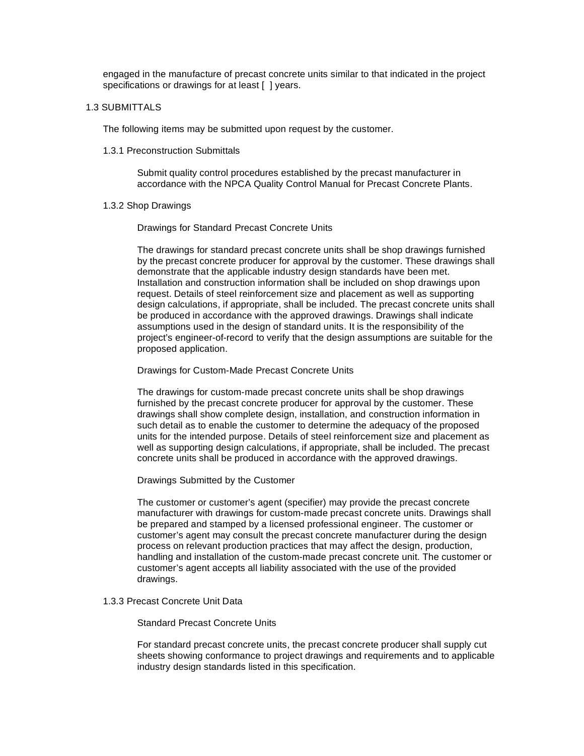engaged in the manufacture of precast concrete units similar to that indicated in the project specifications or drawings for at least [ ] years.

#### 1.3 SUBMITTALS

The following items may be submitted upon request by the customer.

1.3.1 Preconstruction Submittals

Submit quality control procedures established by the precast manufacturer in accordance with the NPCA Quality Control Manual for Precast Concrete Plants.

#### 1.3.2 Shop Drawings

Drawings for Standard Precast Concrete Units

The drawings for standard precast concrete units shall be shop drawings furnished by the precast concrete producer for approval by the customer. These drawings shall demonstrate that the applicable industry design standards have been met. Installation and construction information shall be included on shop drawings upon request. Details of steel reinforcement size and placement as well as supporting design calculations, if appropriate, shall be included. The precast concrete units shall be produced in accordance with the approved drawings. Drawings shall indicate assumptions used in the design of standard units. It is the responsibility of the project's engineer-of-record to verify that the design assumptions are suitable for the proposed application.

Drawings for Custom-Made Precast Concrete Units

The drawings for custom-made precast concrete units shall be shop drawings furnished by the precast concrete producer for approval by the customer. These drawings shall show complete design, installation, and construction information in such detail as to enable the customer to determine the adequacy of the proposed units for the intended purpose. Details of steel reinforcement size and placement as well as supporting design calculations, if appropriate, shall be included. The precast concrete units shall be produced in accordance with the approved drawings.

Drawings Submitted by the Customer

The customer or customer's agent (specifier) may provide the precast concrete manufacturer with drawings for custom-made precast concrete units. Drawings shall be prepared and stamped by a licensed professional engineer. The customer or customer's agent may consult the precast concrete manufacturer during the design process on relevant production practices that may affect the design, production, handling and installation of the custom-made precast concrete unit. The customer or customer's agent accepts all liability associated with the use of the provided drawings.

1.3.3 Precast Concrete Unit Data

Standard Precast Concrete Units

For standard precast concrete units, the precast concrete producer shall supply cut sheets showing conformance to project drawings and requirements and to applicable industry design standards listed in this specification.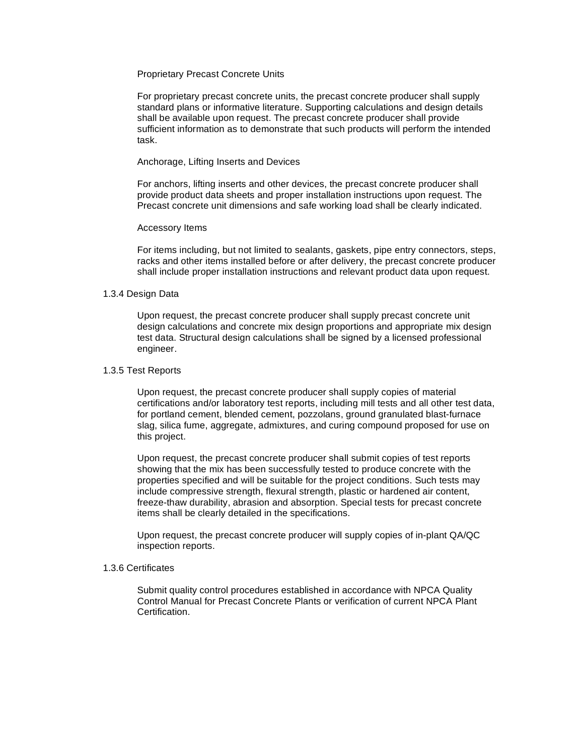## Proprietary Precast Concrete Units

For proprietary precast concrete units, the precast concrete producer shall supply standard plans or informative literature. Supporting calculations and design details shall be available upon request. The precast concrete producer shall provide sufficient information as to demonstrate that such products will perform the intended task.

#### Anchorage, Lifting Inserts and Devices

For anchors, lifting inserts and other devices, the precast concrete producer shall provide product data sheets and proper installation instructions upon request. The Precast concrete unit dimensions and safe working load shall be clearly indicated.

### Accessory Items

For items including, but not limited to sealants, gaskets, pipe entry connectors, steps, racks and other items installed before or after delivery, the precast concrete producer shall include proper installation instructions and relevant product data upon request.

### 1.3.4 Design Data

Upon request, the precast concrete producer shall supply precast concrete unit design calculations and concrete mix design proportions and appropriate mix design test data. Structural design calculations shall be signed by a licensed professional engineer.

### 1.3.5 Test Reports

Upon request, the precast concrete producer shall supply copies of material certifications and/or laboratory test reports, including mill tests and all other test data, for portland cement, blended cement, pozzolans, ground granulated blast-furnace slag, silica fume, aggregate, admixtures, and curing compound proposed for use on this project.

 Upon request, the precast concrete producer shall submit copies of test reports showing that the mix has been successfully tested to produce concrete with the properties specified and will be suitable for the project conditions. Such tests may include compressive strength, flexural strength, plastic or hardened air content, freeze-thaw durability, abrasion and absorption. Special tests for precast concrete items shall be clearly detailed in the specifications.

Upon request, the precast concrete producer will supply copies of in-plant QA/QC inspection reports.

#### 1.3.6 Certificates

Submit quality control procedures established in accordance with NPCA Quality Control Manual for Precast Concrete Plants or verification of current NPCA Plant **Certification**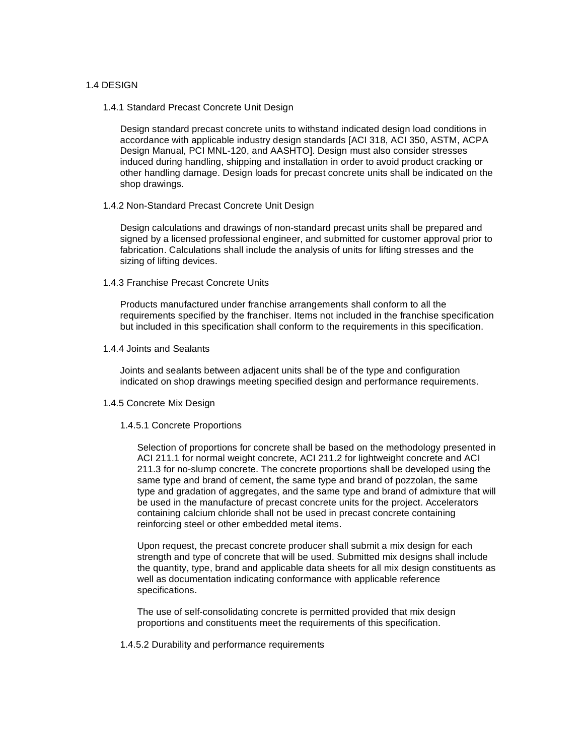## 1.4 DESIGN

#### 1.4.1 Standard Precast Concrete Unit Design

Design standard precast concrete units to withstand indicated design load conditions in accordance with applicable industry design standards [ACI 318, ACI 350, ASTM, ACPA Design Manual, PCI MNL-120, and AASHTO]. Design must also consider stresses induced during handling, shipping and installation in order to avoid product cracking or other handling damage. Design loads for precast concrete units shall be indicated on the shop drawings.

### 1.4.2 Non-Standard Precast Concrete Unit Design

Design calculations and drawings of non-standard precast units shall be prepared and signed by a licensed professional engineer, and submitted for customer approval prior to fabrication. Calculations shall include the analysis of units for lifting stresses and the sizing of lifting devices.

### 1.4.3 Franchise Precast Concrete Units

Products manufactured under franchise arrangements shall conform to all the requirements specified by the franchiser. Items not included in the franchise specification but included in this specification shall conform to the requirements in this specification.

## 1.4.4 Joints and Sealants

Joints and sealants between adjacent units shall be of the type and configuration indicated on shop drawings meeting specified design and performance requirements.

## 1.4.5 Concrete Mix Design

## 1.4.5.1 Concrete Proportions

Selection of proportions for concrete shall be based on the methodology presented in ACI 211.1 for normal weight concrete, ACI 211.2 for lightweight concrete and ACI 211.3 for no-slump concrete. The concrete proportions shall be developed using the same type and brand of cement, the same type and brand of pozzolan, the same type and gradation of aggregates, and the same type and brand of admixture that will be used in the manufacture of precast concrete units for the project. Accelerators containing calcium chloride shall not be used in precast concrete containing reinforcing steel or other embedded metal items.

Upon request, the precast concrete producer shall submit a mix design for each strength and type of concrete that will be used. Submitted mix designs shall include the quantity, type, brand and applicable data sheets for all mix design constituents as well as documentation indicating conformance with applicable reference specifications.

The use of self-consolidating concrete is permitted provided that mix design proportions and constituents meet the requirements of this specification.

#### 1.4.5.2 Durability and performance requirements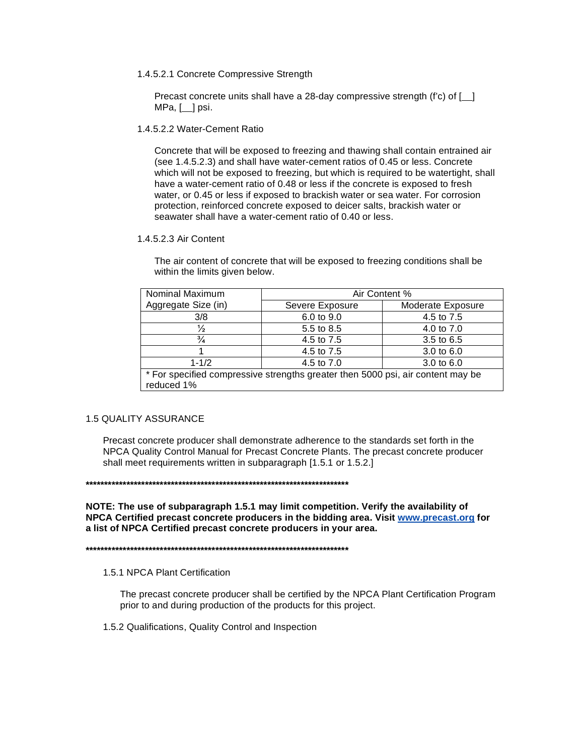1.4.5.2.1 Concrete Compressive Strength

Precast concrete units shall have a 28-day compressive strength (f'c) of [] MPa, [ ] psi.

1.4.5.2.2 Water-Cement Ratio

Concrete that will be exposed to freezing and thawing shall contain entrained air (see 1.4.5.2.3) and shall have water-cement ratios of 0.45 or less. Concrete which will not be exposed to freezing, but which is required to be watertight, shall have a water-cement ratio of 0.48 or less if the concrete is exposed to fresh water, or 0.45 or less if exposed to brackish water or sea water. For corrosion protection, reinforced concrete exposed to deicer salts, brackish water or seawater shall have a water-cement ratio of 0.40 or less.

1.4.5.2.3 Air Content

The air content of concrete that will be exposed to freezing conditions shall be within the limits given below.

| Nominal Maximum                                                                               | Air Content %   |                       |
|-----------------------------------------------------------------------------------------------|-----------------|-----------------------|
| Aggregate Size (in)                                                                           | Severe Exposure | Moderate Exposure     |
| 3/8                                                                                           | 6.0 to 9.0      | 4.5 to 7.5            |
| $\frac{1}{2}$                                                                                 | 5.5 to 8.5      | 4.0 to 7.0            |
| $\frac{3}{4}$                                                                                 | 4.5 to 7.5      | 3.5 to 6.5            |
|                                                                                               | 4.5 to 7.5      | 3.0 to $6.0$          |
| $1 - 1/2$                                                                                     | 4.5 to 7.0      | $3.0 \text{ to } 6.0$ |
| * For specified compressive strengths greater then 5000 psi, air content may be<br>reduced 1% |                 |                       |

## **1.5 QUALITY ASSURANCE**

Precast concrete producer shall demonstrate adherence to the standards set forth in the NPCA Quality Control Manual for Precast Concrete Plants. The precast concrete producer shall meet requirements written in subparagraph [1.5.1 or 1.5.2.]

NOTE: The use of subparagraph 1.5.1 may limit competition. Verify the availability of NPCA Certified precast concrete producers in the bidding area. Visit www.precast.org for a list of NPCA Certified precast concrete producers in your area.

1.5.1 NPCA Plant Certification

The precast concrete producer shall be certified by the NPCA Plant Certification Program prior to and during production of the products for this project.

1.5.2 Qualifications, Quality Control and Inspection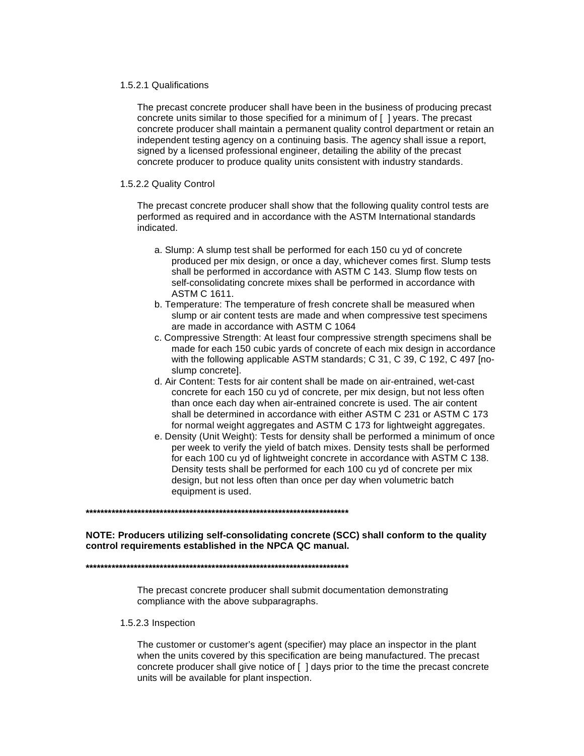#### 1.5.2.1 Qualifications

The precast concrete producer shall have been in the business of producing precast concrete units similar to those specified for a minimum of [ ] years. The precast concrete producer shall maintain a permanent quality control department or retain an independent testing agency on a continuing basis. The agency shall issue a report, signed by a licensed professional engineer, detailing the ability of the precast concrete producer to produce quality units consistent with industry standards.

## 1.5.2.2 Quality Control

The precast concrete producer shall show that the following quality control tests are performed as required and in accordance with the ASTM International standards indicated.

- a. Slump: A slump test shall be performed for each 150 cu yd of concrete produced per mix design, or once a day, whichever comes first. Slump tests shall be performed in accordance with ASTM C 143. Slump flow tests on self-consolidating concrete mixes shall be performed in accordance with ASTM C 1611.
- b. Temperature: The temperature of fresh concrete shall be measured when slump or air content tests are made and when compressive test specimens are made in accordance with ASTM C 1064
- c. Compressive Strength: At least four compressive strength specimens shall be made for each 150 cubic yards of concrete of each mix design in accordance with the following applicable ASTM standards; C 31, C 39, C 192, C 497 [noslump concrete].
- d. Air Content: Tests for air content shall be made on air-entrained, wet-cast concrete for each 150 cu yd of concrete, per mix design, but not less often than once each day when air-entrained concrete is used. The air content shall be determined in accordance with either ASTM C 231 or ASTM C 173 for normal weight aggregates and ASTM C 173 for lightweight aggregates.
- e. Density (Unit Weight): Tests for density shall be performed a minimum of once per week to verify the yield of batch mixes. Density tests shall be performed for each 100 cu yd of lightweight concrete in accordance with ASTM C 138. Density tests shall be performed for each 100 cu yd of concrete per mix design, but not less often than once per day when volumetric batch equipment is used.

**\*\*\*\*\*\*\*\*\*\*\*\*\*\*\*\*\*\*\*\*\*\*\*\*\*\*\*\*\*\*\*\*\*\*\*\*\*\*\*\*\*\*\*\*\*\*\*\*\*\*\*\*\*\*\*\*\*\*\*\*\*\*\*\*\*\*\*\*\*\*\*** 

## **NOTE: Producers utilizing self-consolidating concrete (SCC) shall conform to the quality control requirements established in the NPCA QC manual.**

**\*\*\*\*\*\*\*\*\*\*\*\*\*\*\*\*\*\*\*\*\*\*\*\*\*\*\*\*\*\*\*\*\*\*\*\*\*\*\*\*\*\*\*\*\*\*\*\*\*\*\*\*\*\*\*\*\*\*\*\*\*\*\*\*\*\*\*\*\*\*\*** 

The precast concrete producer shall submit documentation demonstrating compliance with the above subparagraphs.

#### 1.5.2.3 Inspection

The customer or customer's agent (specifier) may place an inspector in the plant when the units covered by this specification are being manufactured. The precast concrete producer shall give notice of [ ] days prior to the time the precast concrete units will be available for plant inspection.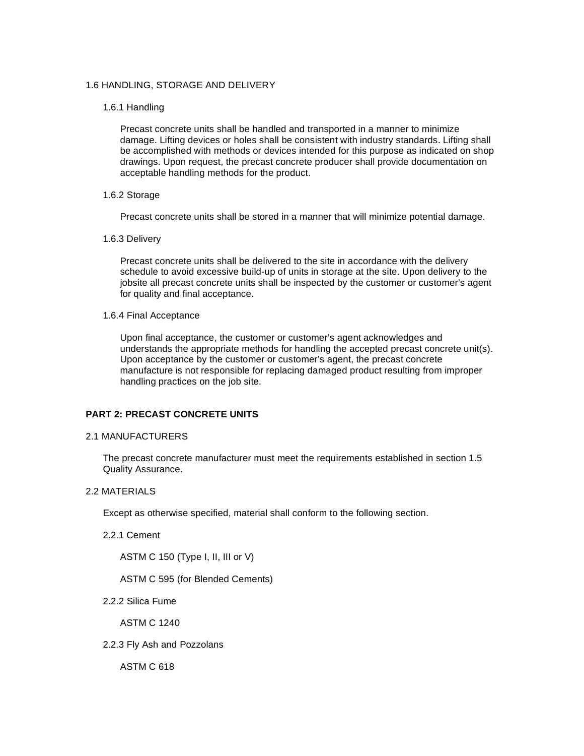## 1.6 HANDLING, STORAGE AND DELIVERY

### 1.6.1 Handling

 Precast concrete units shall be handled and transported in a manner to minimize damage. Lifting devices or holes shall be consistent with industry standards. Lifting shall be accomplished with methods or devices intended for this purpose as indicated on shop drawings. Upon request, the precast concrete producer shall provide documentation on acceptable handling methods for the product.

## 1.6.2 Storage

Precast concrete units shall be stored in a manner that will minimize potential damage.

### 1.6.3 Delivery

Precast concrete units shall be delivered to the site in accordance with the delivery schedule to avoid excessive build-up of units in storage at the site. Upon delivery to the jobsite all precast concrete units shall be inspected by the customer or customer's agent for quality and final acceptance.

### 1.6.4 Final Acceptance

Upon final acceptance, the customer or customer's agent acknowledges and understands the appropriate methods for handling the accepted precast concrete unit(s). Upon acceptance by the customer or customer's agent, the precast concrete manufacture is not responsible for replacing damaged product resulting from improper handling practices on the job site.

## **PART 2: PRECAST CONCRETE UNITS**

## 2.1 MANUFACTURERS

The precast concrete manufacturer must meet the requirements established in section 1.5 Quality Assurance.

## 2.2 MATERIALS

Except as otherwise specified, material shall conform to the following section.

2.2.1 Cement

ASTM C 150 (Type I, II, III or V)

ASTM C 595 (for Blended Cements)

2.2.2 Silica Fume

ASTM C 1240

2.2.3 Fly Ash and Pozzolans

ASTM C 618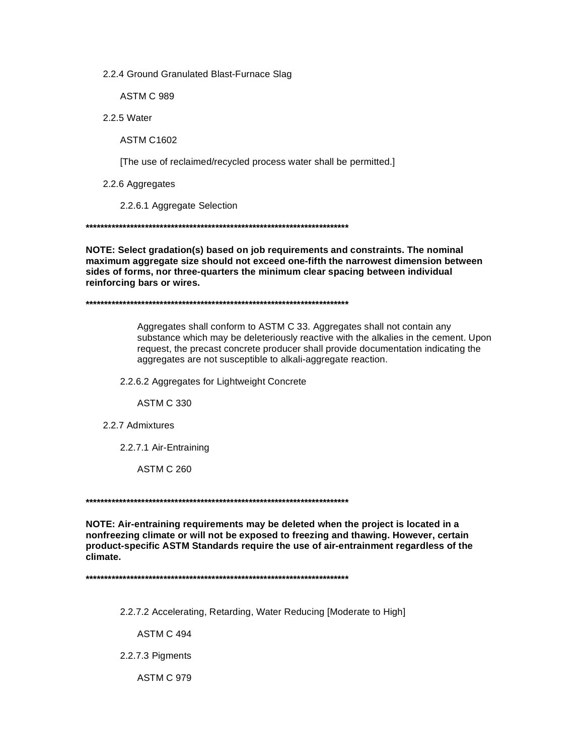2.2.4 Ground Granulated Blast-Furnace Slag

ASTM C 989

2.2.5 Water

**ASTM C1602** 

[The use of reclaimed/recycled process water shall be permitted.]

2.2.6 Aggregates

2.2.6.1 Aggregate Selection

NOTE: Select gradation(s) based on job requirements and constraints. The nominal maximum aggregate size should not exceed one-fifth the narrowest dimension between sides of forms, nor three-quarters the minimum clear spacing between individual reinforcing bars or wires.

Aggregates shall conform to ASTM C 33. Aggregates shall not contain any substance which may be deleteriously reactive with the alkalies in the cement. Upon request, the precast concrete producer shall provide documentation indicating the aggregates are not susceptible to alkali-aggregate reaction.

2.2.6.2 Aggregates for Lightweight Concrete

**ASTM C 330** 

2.2.7 Admixtures

2.2.7.1 Air-Entraining

**ASTM C 260** 

NOTE: Air-entraining requirements may be deleted when the project is located in a nonfreezing climate or will not be exposed to freezing and thawing. However, certain product-specific ASTM Standards require the use of air-entrainment regardless of the climate.

2.2.7.2 Accelerating, Retarding, Water Reducing [Moderate to High]

ASTM C 494

2.2.7.3 Pigments

**ASTM C 979**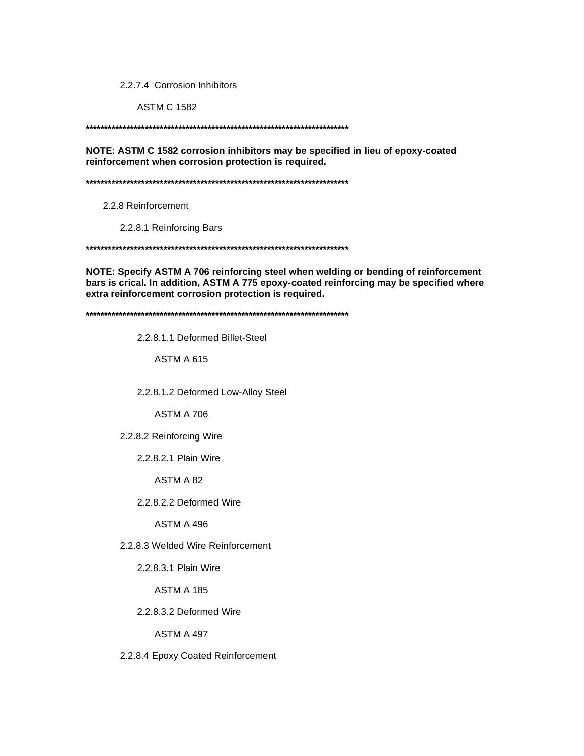2.2.7.4 Corrosion Inhibitors

**ASTM C 1582** 

NOTE: ASTM C 1582 corrosion inhibitors may be specified in lieu of epoxy-coated reinforcement when corrosion protection is required.

2.2.8 Reinforcement

2.2.8.1 Reinforcing Bars

NOTE: Specify ASTM A 706 reinforcing steel when welding or bending of reinforcement bars is crical. In addition, ASTM A 775 epoxy-coated reinforcing may be specified where extra reinforcement corrosion protection is required.

2.2.8.1.1 Deformed Billet-Steel

ASTM A 615

2.2.8.1.2 Deformed Low-Alloy Steel

ASTM A 706

2.2.8.2 Reinforcing Wire

2.2.8.2.1 Plain Wire

ASTM A 82

2.2.8.2.2 Deformed Wire

ASTM A 496

2.2.8.3 Welded Wire Reinforcement

2.2.8.3.1 Plain Wire

**ASTM A 185** 

2.2.8.3.2 Deformed Wire

ASTM A 497

2.2.8.4 Epoxy Coated Reinforcement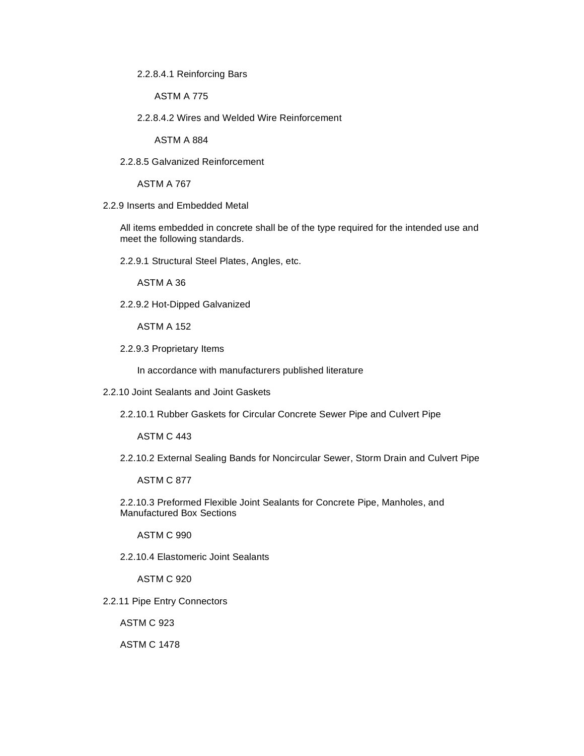2.2.8.4.1 Reinforcing Bars

ASTM A 775

2.2.8.4.2 Wires and Welded Wire Reinforcement

ASTM A 884

2.2.8.5 Galvanized Reinforcement

ASTM A 767

2.2.9 Inserts and Embedded Metal

All items embedded in concrete shall be of the type required for the intended use and meet the following standards.

2.2.9.1 Structural Steel Plates, Angles, etc.

ASTM A 36

2.2.9.2 Hot-Dipped Galvanized

ASTM A 152

2.2.9.3 Proprietary Items

In accordance with manufacturers published literature

- 2.2.10 Joint Sealants and Joint Gaskets
	- 2.2.10.1 Rubber Gaskets for Circular Concrete Sewer Pipe and Culvert Pipe

ASTM C 443

2.2.10.2 External Sealing Bands for Noncircular Sewer, Storm Drain and Culvert Pipe

ASTM C 877

2.2.10.3 Preformed Flexible Joint Sealants for Concrete Pipe, Manholes, and Manufactured Box Sections

ASTM C 990

2.2.10.4 Elastomeric Joint Sealants

ASTM C 920

2.2.11 Pipe Entry Connectors

ASTM C 923

ASTM C 1478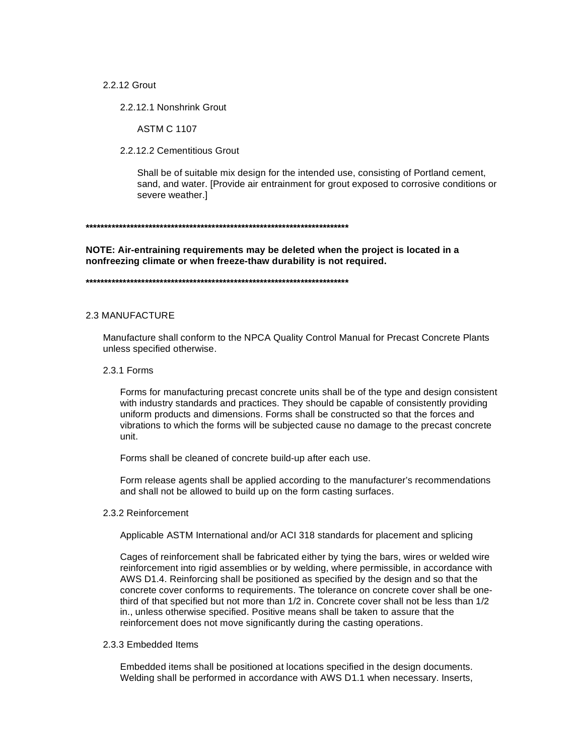2.2.12 Grout

2.2.12.1 Nonshrink Grout

**ASTM C 1107** 

2.2.12.2 Cementitious Grout

Shall be of suitable mix design for the intended use, consisting of Portland cement, sand, and water. [Provide air entrainment for grout exposed to corrosive conditions or severe weather.]

#### 

NOTE: Air-entraining requirements may be deleted when the project is located in a nonfreezing climate or when freeze-thaw durability is not required.

#### **2.3 MANUFACTURE**

Manufacture shall conform to the NPCA Quality Control Manual for Precast Concrete Plants unless specified otherwise.

#### 2.3.1 Forms

Forms for manufacturing precast concrete units shall be of the type and design consistent with industry standards and practices. They should be capable of consistently providing uniform products and dimensions. Forms shall be constructed so that the forces and vibrations to which the forms will be subjected cause no damage to the precast concrete unit.

Forms shall be cleaned of concrete build-up after each use.

Form release agents shall be applied according to the manufacturer's recommendations and shall not be allowed to build up on the form casting surfaces.

#### 2.3.2 Reinforcement

Applicable ASTM International and/or ACI 318 standards for placement and splicing

Cages of reinforcement shall be fabricated either by tying the bars, wires or welded wire reinforcement into rigid assemblies or by welding, where permissible, in accordance with AWS D1.4. Reinforcing shall be positioned as specified by the design and so that the concrete cover conforms to requirements. The tolerance on concrete cover shall be onethird of that specified but not more than 1/2 in. Concrete cover shall not be less than 1/2 in., unless otherwise specified. Positive means shall be taken to assure that the reinforcement does not move significantly during the casting operations.

## 2.3.3 Embedded Items

Embedded items shall be positioned at locations specified in the design documents. Welding shall be performed in accordance with AWS D1.1 when necessary. Inserts,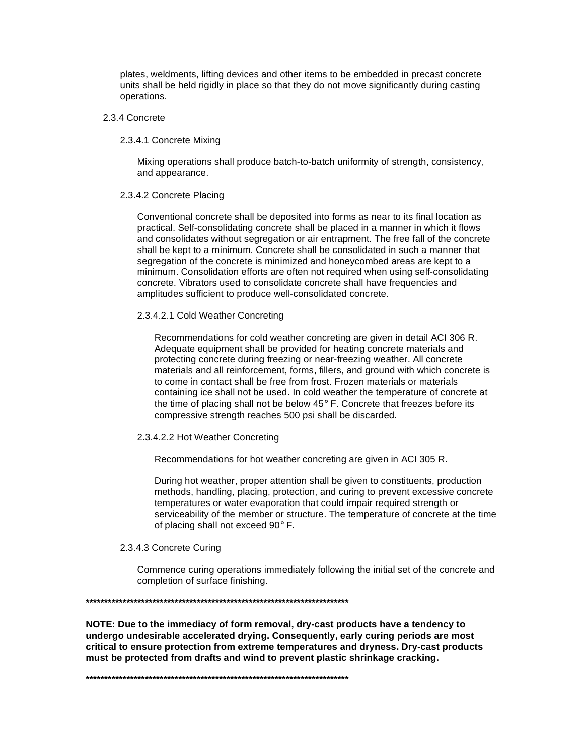plates, weldments, lifting devices and other items to be embedded in precast concrete units shall be held rigidly in place so that they do not move significantly during casting operations.

#### 2.3.4 Concrete

2.3.4.1 Concrete Mixing

Mixing operations shall produce batch-to-batch uniformity of strength, consistency, and appearance.

## 2.3.4.2 Concrete Placing

Conventional concrete shall be deposited into forms as near to its final location as practical. Self-consolidating concrete shall be placed in a manner in which it flows and consolidates without segregation or air entrapment. The free fall of the concrete shall be kept to a minimum. Concrete shall be consolidated in such a manner that segregation of the concrete is minimized and honeycombed areas are kept to a minimum. Consolidation efforts are often not required when using self-consolidating concrete. Vibrators used to consolidate concrete shall have frequencies and amplitudes sufficient to produce well-consolidated concrete.

## 2.3.4.2.1 Cold Weather Concreting

Recommendations for cold weather concreting are given in detail ACI 306 R. Adequate equipment shall be provided for heating concrete materials and protecting concrete during freezing or near-freezing weather. All concrete materials and all reinforcement, forms, fillers, and ground with which concrete is to come in contact shall be free from frost. Frozen materials or materials containing ice shall not be used. In cold weather the temperature of concrete at the time of placing shall not be below 45° F. Concrete that freezes before its compressive strength reaches 500 psi shall be discarded.

#### 2.3.4.2.2 Hot Weather Concreting

Recommendations for hot weather concreting are given in ACI 305 R.

During hot weather, proper attention shall be given to constituents, production methods, handling, placing, protection, and curing to prevent excessive concrete temperatures or water evaporation that could impair required strength or serviceability of the member or structure. The temperature of concrete at the time of placing shall not exceed 90° F.

## 2.3.4.3 Concrete Curing

Commence curing operations immediately following the initial set of the concrete and completion of surface finishing.

#### **\*\*\*\*\*\*\*\*\*\*\*\*\*\*\*\*\*\*\*\*\*\*\*\*\*\*\*\*\*\*\*\*\*\*\*\*\*\*\*\*\*\*\*\*\*\*\*\*\*\*\*\*\*\*\*\*\*\*\*\*\*\*\*\*\*\*\*\*\*\*\***

**NOTE: Due to the immediacy of form removal, dry-cast products have a tendency to undergo undesirable accelerated drying. Consequently, early curing periods are most critical to ensure protection from extreme temperatures and dryness. Dry-cast products must be protected from drafts and wind to prevent plastic shrinkage cracking.** 

**\*\*\*\*\*\*\*\*\*\*\*\*\*\*\*\*\*\*\*\*\*\*\*\*\*\*\*\*\*\*\*\*\*\*\*\*\*\*\*\*\*\*\*\*\*\*\*\*\*\*\*\*\*\*\*\*\*\*\*\*\*\*\*\*\*\*\*\*\*\*\***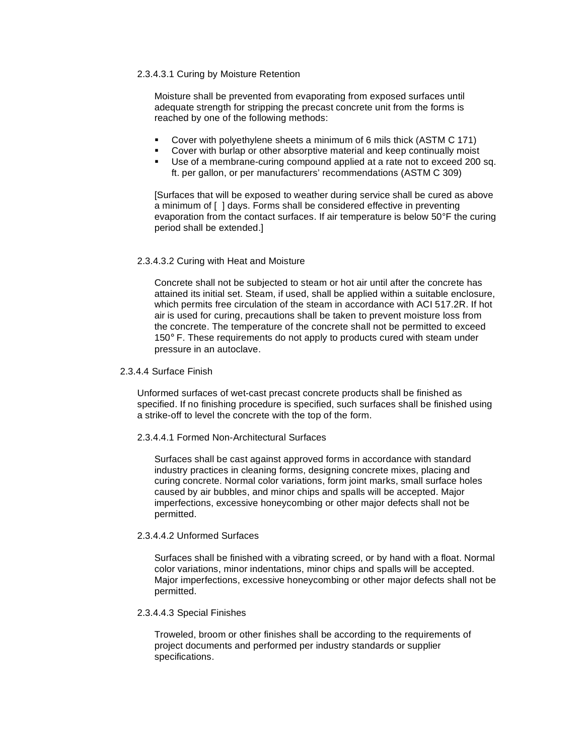## 2.3.4.3.1 Curing by Moisture Retention

Moisture shall be prevented from evaporating from exposed surfaces until adequate strength for stripping the precast concrete unit from the forms is reached by one of the following methods:

- Cover with polyethylene sheets a minimum of 6 mils thick (ASTM C 171)
- Cover with burlap or other absorptive material and keep continually moist
- Use of a membrane-curing compound applied at a rate not to exceed 200 sq. ft. per gallon, or per manufacturers' recommendations (ASTM C 309)

[Surfaces that will be exposed to weather during service shall be cured as above a minimum of [ ] days. Forms shall be considered effective in preventing evaporation from the contact surfaces. If air temperature is below 50°F the curing period shall be extended.]

### 2.3.4.3.2 Curing with Heat and Moisture

Concrete shall not be subjected to steam or hot air until after the concrete has attained its initial set. Steam, if used, shall be applied within a suitable enclosure, which permits free circulation of the steam in accordance with ACI 517.2R. If hot air is used for curing, precautions shall be taken to prevent moisture loss from the concrete. The temperature of the concrete shall not be permitted to exceed 150° F. These requirements do not apply to products cured with steam under pressure in an autoclave.

#### 2.3.4.4 Surface Finish

Unformed surfaces of wet-cast precast concrete products shall be finished as specified. If no finishing procedure is specified, such surfaces shall be finished using a strike-off to level the concrete with the top of the form.

#### 2.3.4.4.1 Formed Non-Architectural Surfaces

Surfaces shall be cast against approved forms in accordance with standard industry practices in cleaning forms, designing concrete mixes, placing and curing concrete. Normal color variations, form joint marks, small surface holes caused by air bubbles, and minor chips and spalls will be accepted. Major imperfections, excessive honeycombing or other major defects shall not be permitted.

#### 2.3.4.4.2 Unformed Surfaces

Surfaces shall be finished with a vibrating screed, or by hand with a float. Normal color variations, minor indentations, minor chips and spalls will be accepted. Major imperfections, excessive honeycombing or other major defects shall not be permitted.

#### 2.3.4.4.3 Special Finishes

Troweled, broom or other finishes shall be according to the requirements of project documents and performed per industry standards or supplier specifications.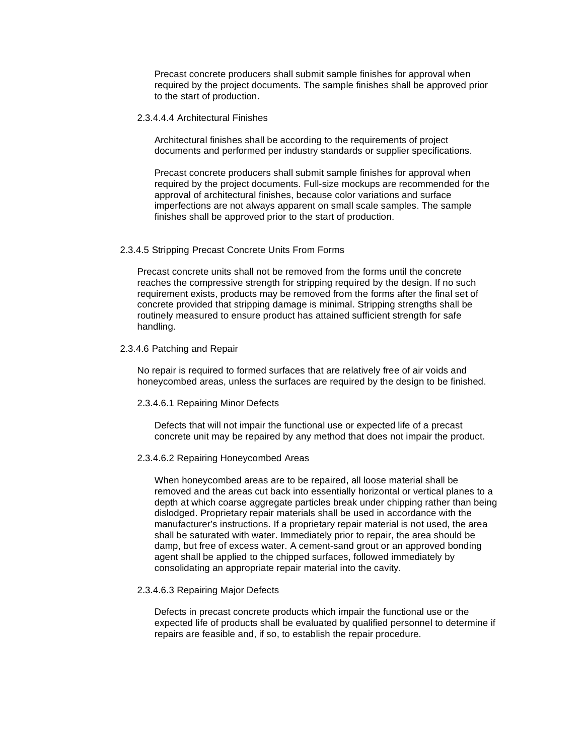Precast concrete producers shall submit sample finishes for approval when required by the project documents. The sample finishes shall be approved prior to the start of production.

#### 2.3.4.4.4 Architectural Finishes

Architectural finishes shall be according to the requirements of project documents and performed per industry standards or supplier specifications.

Precast concrete producers shall submit sample finishes for approval when required by the project documents. Full-size mockups are recommended for the approval of architectural finishes, because color variations and surface imperfections are not always apparent on small scale samples. The sample finishes shall be approved prior to the start of production.

#### 2.3.4.5 Stripping Precast Concrete Units From Forms

Precast concrete units shall not be removed from the forms until the concrete reaches the compressive strength for stripping required by the design. If no such requirement exists, products may be removed from the forms after the final set of concrete provided that stripping damage is minimal. Stripping strengths shall be routinely measured to ensure product has attained sufficient strength for safe handling.

#### 2.3.4.6 Patching and Repair

No repair is required to formed surfaces that are relatively free of air voids and honeycombed areas, unless the surfaces are required by the design to be finished.

#### 2.3.4.6.1 Repairing Minor Defects

Defects that will not impair the functional use or expected life of a precast concrete unit may be repaired by any method that does not impair the product.

#### 2.3.4.6.2 Repairing Honeycombed Areas

When honeycombed areas are to be repaired, all loose material shall be removed and the areas cut back into essentially horizontal or vertical planes to a depth at which coarse aggregate particles break under chipping rather than being dislodged. Proprietary repair materials shall be used in accordance with the manufacturer's instructions. If a proprietary repair material is not used, the area shall be saturated with water. Immediately prior to repair, the area should be damp, but free of excess water. A cement-sand grout or an approved bonding agent shall be applied to the chipped surfaces, followed immediately by consolidating an appropriate repair material into the cavity.

## 2.3.4.6.3 Repairing Major Defects

Defects in precast concrete products which impair the functional use or the expected life of products shall be evaluated by qualified personnel to determine if repairs are feasible and, if so, to establish the repair procedure.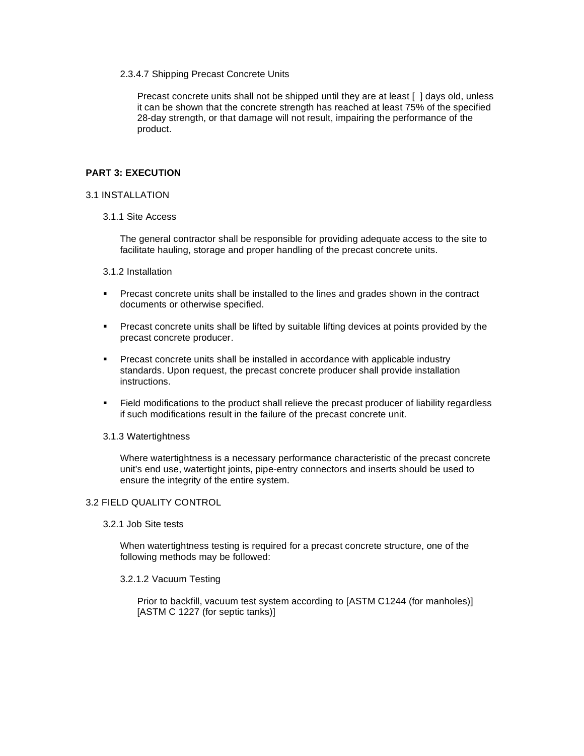## 2.3.4.7 Shipping Precast Concrete Units

Precast concrete units shall not be shipped until they are at least [ ] days old, unless it can be shown that the concrete strength has reached at least 75% of the specified 28-day strength, or that damage will not result, impairing the performance of the product.

## **PART 3: EXECUTION**

### 3.1 INSTALLATION

3.1.1 Site Access

The general contractor shall be responsible for providing adequate access to the site to facilitate hauling, storage and proper handling of the precast concrete units.

- 3.1.2 Installation
- **Precast concrete units shall be installed to the lines and grades shown in the contract** documents or otherwise specified.
- Precast concrete units shall be lifted by suitable lifting devices at points provided by the precast concrete producer.
- Precast concrete units shall be installed in accordance with applicable industry standards. Upon request, the precast concrete producer shall provide installation instructions.
- Field modifications to the product shall relieve the precast producer of liability regardless if such modifications result in the failure of the precast concrete unit.

#### 3.1.3 Watertightness

Where watertightness is a necessary performance characteristic of the precast concrete unit's end use, watertight joints, pipe-entry connectors and inserts should be used to ensure the integrity of the entire system.

#### 3.2 FIELD QUALITY CONTROL

3.2.1 Job Site tests

When watertightness testing is required for a precast concrete structure, one of the following methods may be followed:

3.2.1.2 Vacuum Testing

Prior to backfill, vacuum test system according to [ASTM C1244 (for manholes)] [ASTM C 1227 (for septic tanks)]